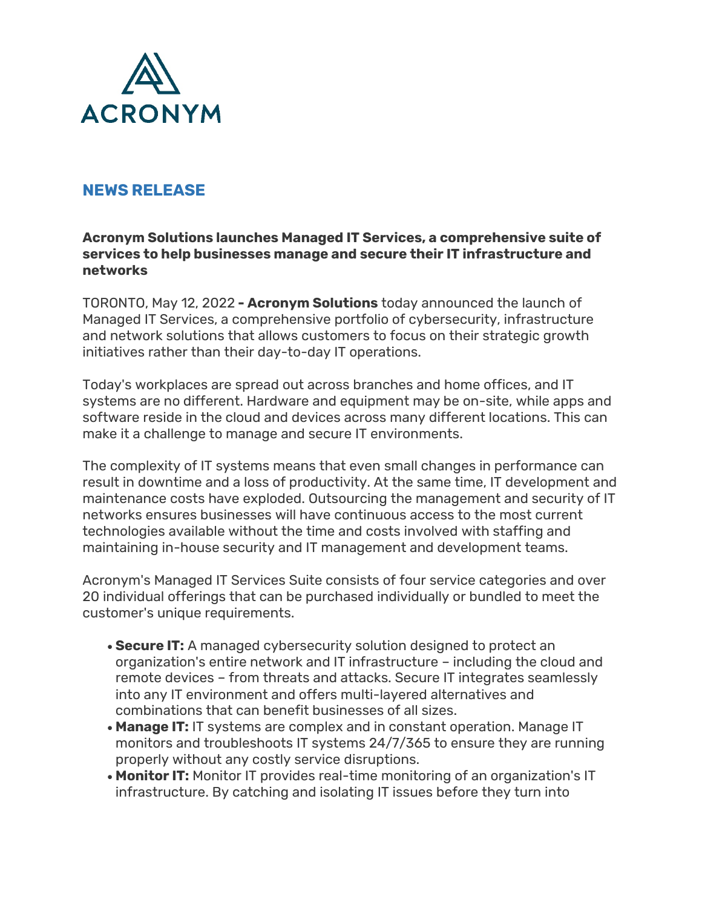

## **NEWS RELEASE**

## **Acronym Solutions launches Managed IT Services, a comprehensive suite of services to help businesses manage and secure their IT infrastructure and networks**

TORONTO, May 12, 2022 **- Acronym Solutions** today announced the launch of Managed IT Services, a comprehensive portfolio of cybersecurity, infrastructure and network solutions that allows customers to focus on their strategic growth initiatives rather than their day-to-day IT operations.

Today's workplaces are spread out across branches and home offices, and IT systems are no different. Hardware and equipment may be on-site, while apps and software reside in the cloud and devices across many different locations. This can make it a challenge to manage and secure IT environments.

The complexity of IT systems means that even small changes in performance can result in downtime and a loss of productivity. At the same time, IT development and maintenance costs have exploded. Outsourcing the management and security of IT networks ensures businesses will have continuous access to the most current technologies available without the time and costs involved with staffing and maintaining in-house security and IT management and development teams.

Acronym's Managed IT Services Suite consists of four service categories and over 20 individual offerings that can be purchased individually or bundled to meet the customer's unique requirements.

- **Secure IT:** A managed cybersecurity solution designed to protect an organization's entire network and IT infrastructure – including the cloud and remote devices – from threats and attacks. Secure IT integrates seamlessly into any IT environment and offers multi-layered alternatives and combinations that can benefit businesses of all sizes.
- **Manage IT:** IT systems are complex and in constant operation. Manage IT monitors and troubleshoots IT systems 24/7/365 to ensure they are running properly without any costly service disruptions.
- **Monitor IT:** Monitor IT provides real-time monitoring of an organization's IT infrastructure. By catching and isolating IT issues before they turn into